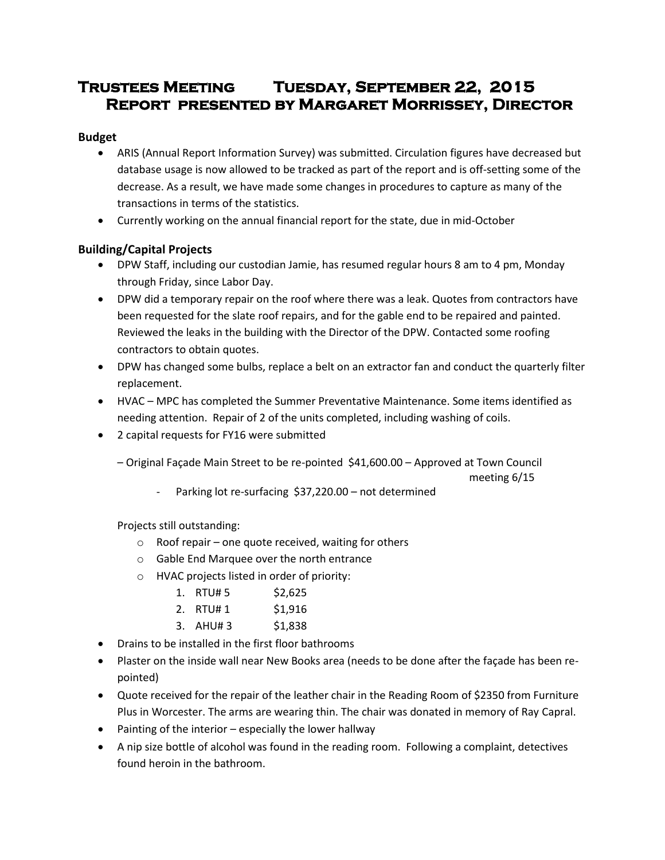# **Trustees Meeting Tuesday, September 22, 2015 Report presented by Margaret Morrissey, Director**

# **Budget**

- ARIS (Annual Report Information Survey) was submitted. Circulation figures have decreased but database usage is now allowed to be tracked as part of the report and is off-setting some of the decrease. As a result, we have made some changes in procedures to capture as many of the transactions in terms of the statistics.
- Currently working on the annual financial report for the state, due in mid-October

# **Building/Capital Projects**

- DPW Staff, including our custodian Jamie, has resumed regular hours 8 am to 4 pm, Monday through Friday, since Labor Day.
- DPW did a temporary repair on the roof where there was a leak. Quotes from contractors have been requested for the slate roof repairs, and for the gable end to be repaired and painted. Reviewed the leaks in the building with the Director of the DPW. Contacted some roofing contractors to obtain quotes.
- DPW has changed some bulbs, replace a belt on an extractor fan and conduct the quarterly filter replacement.
- HVAC MPC has completed the Summer Preventative Maintenance. Some items identified as needing attention. Repair of 2 of the units completed, including washing of coils.
- 2 capital requests for FY16 were submitted
	- Original Façade Main Street to be re-pointed \$41,600.00 Approved at Town Council

meeting 6/15

Parking lot re-surfacing \$37,220.00 – not determined

Projects still outstanding:

- o Roof repair one quote received, waiting for others
- o Gable End Marquee over the north entrance
- o HVAC projects listed in order of priority:
	- 1. RTU# 5 \$2,625
	- 2. RTU# 1 \$1,916
	- 3. AHU# 3 \$1,838
- Drains to be installed in the first floor bathrooms
- Plaster on the inside wall near New Books area (needs to be done after the façade has been repointed)
- Quote received for the repair of the leather chair in the Reading Room of \$2350 from Furniture Plus in Worcester. The arms are wearing thin. The chair was donated in memory of Ray Capral.
- Painting of the interior especially the lower hallway
- A nip size bottle of alcohol was found in the reading room. Following a complaint, detectives found heroin in the bathroom.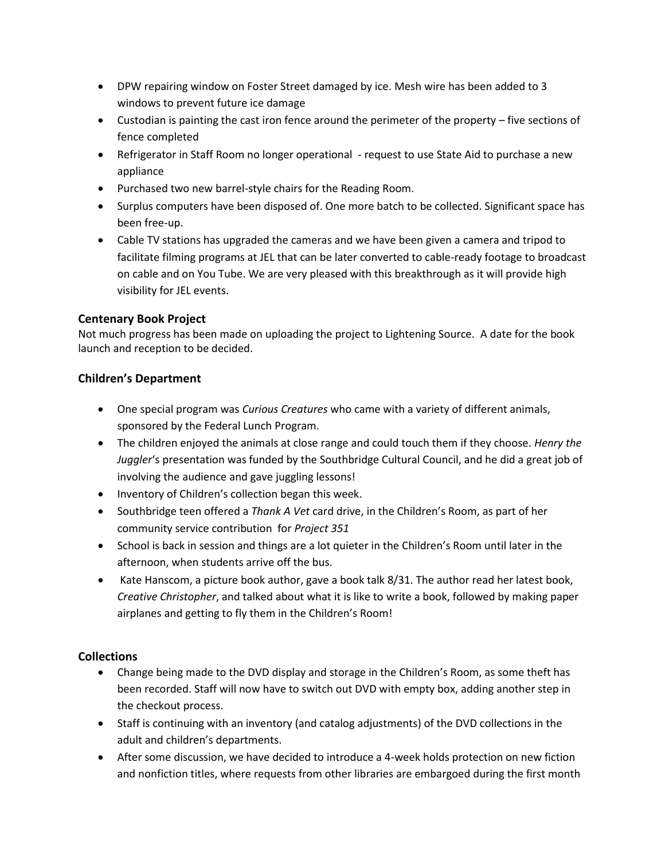- DPW repairing window on Foster Street damaged by ice. Mesh wire has been added to 3 windows to prevent future ice damage
- Custodian is painting the cast iron fence around the perimeter of the property five sections of fence completed
- Refrigerator in Staff Room no longer operational request to use State Aid to purchase a new appliance
- Purchased two new barrel-style chairs for the Reading Room.
- Surplus computers have been disposed of. One more batch to be collected. Significant space has been free-up.
- Cable TV stations has upgraded the cameras and we have been given a camera and tripod to facilitate filming programs at JEL that can be later converted to cable-ready footage to broadcast on cable and on You Tube. We are very pleased with this breakthrough as it will provide high visibility for JEL events.

# **Centenary Book Project**

Not much progress has been made on uploading the project to Lightening Source. A date for the book launch and reception to be decided.

# **Children's Department**

- One special program was *Curious Creatures* who came with a variety of different animals, sponsored by the Federal Lunch Program.
- The children enjoyed the animals at close range and could touch them if they choose. *Henry the Juggler*'s presentation was funded by the Southbridge Cultural Council, and he did a great job of involving the audience and gave juggling lessons!
- Inventory of Children's collection began this week.
- Southbridge teen offered a *Thank A Vet* card drive, in the Children's Room, as part of her community service contribution for *Project 351*
- School is back in session and things are a lot quieter in the Children's Room until later in the afternoon, when students arrive off the bus.
- Kate Hanscom, a picture book author, gave a book talk 8/31. The author read her latest book, *Creative Christopher*, and talked about what it is like to write a book, followed by making paper airplanes and getting to fly them in the Children's Room!

# **Collections**

- Change being made to the DVD display and storage in the Children's Room, as some theft has been recorded. Staff will now have to switch out DVD with empty box, adding another step in the checkout process.
- Staff is continuing with an inventory (and catalog adjustments) of the DVD collections in the adult and children's departments.
- After some discussion, we have decided to introduce a 4-week holds protection on new fiction and nonfiction titles, where requests from other libraries are embargoed during the first month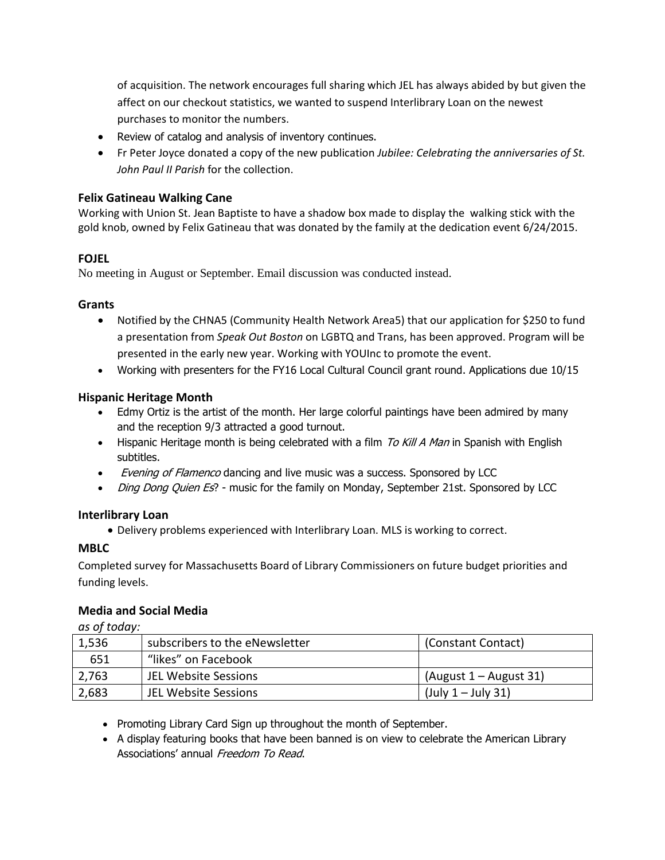of acquisition. The network encourages full sharing which JEL has always abided by but given the affect on our checkout statistics, we wanted to suspend Interlibrary Loan on the newest purchases to monitor the numbers.

- Review of catalog and analysis of inventory continues.
- Fr Peter Joyce donated a copy of the new publication *Jubilee: Celebrating the anniversaries of St. John Paul II Parish* for the collection.

# **Felix Gatineau Walking Cane**

Working with Union St. Jean Baptiste to have a shadow box made to display the walking stick with the gold knob, owned by Felix Gatineau that was donated by the family at the dedication event 6/24/2015.

# **FOJEL**

No meeting in August or September. Email discussion was conducted instead.

## **Grants**

- Notified by the CHNA5 (Community Health Network Area5) that our application for \$250 to fund a presentation from *Speak Out Boston* on LGBTQ and Trans, has been approved. Program will be presented in the early new year. Working with YOUInc to promote the event.
- Working with presenters for the FY16 Local Cultural Council grant round. Applications due 10/15

## **Hispanic Heritage Month**

- Edmy Ortiz is the artist of the month. Her large colorful paintings have been admired by many and the reception 9/3 attracted a good turnout.
- Hispanic Heritage month is being celebrated with a film  $\overline{Io}$  Kill A Man in Spanish with English subtitles.
- *Evening of Flamenco* dancing and live music was a success. Sponsored by LCC
- *Ding Dong Quien Es*? music for the family on Monday, September 21st. Sponsored by LCC

#### **Interlibrary Loan**

Delivery problems experienced with Interlibrary Loan. MLS is working to correct.

#### **MBLC**

Completed survey for Massachusetts Board of Library Commissioners on future budget priorities and funding levels.

#### **Media and Social Media**

*as of today:*

| 1,536 | subscribers to the eNewsletter | (Constant Contact)       |
|-------|--------------------------------|--------------------------|
| 651   | "likes" on Facebook            |                          |
| 2,763 | <b>JEL Website Sessions</b>    | (August $1 -$ August 31) |
| 2,683 | <b>JEL Website Sessions</b>    | $($ July 1 – July 31)    |

- Promoting Library Card Sign up throughout the month of September.
- A display featuring books that have been banned is on view to celebrate the American Library Associations' annual Freedom To Read.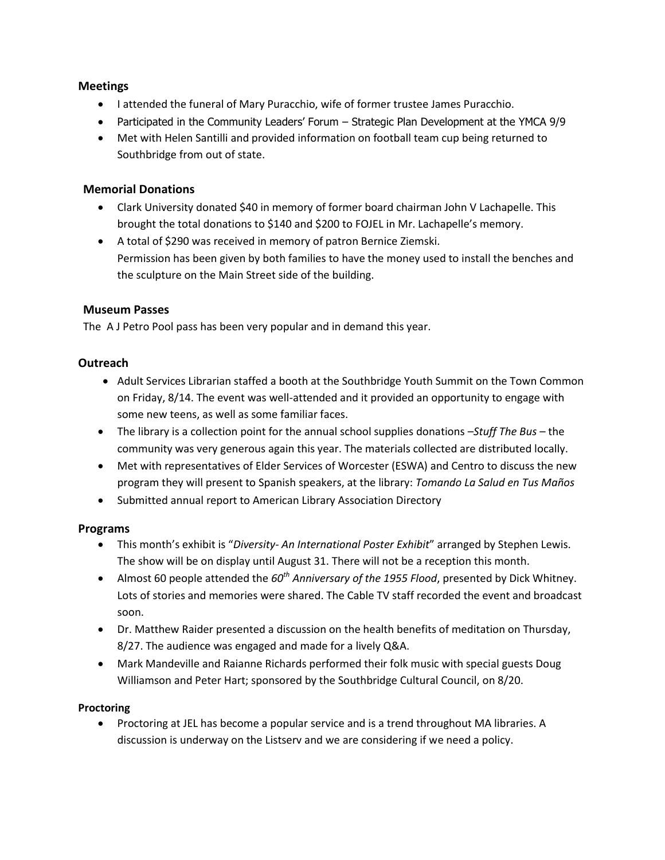# **Meetings**

- $\bullet$  I attended the funeral of Mary Puracchio, wife of former trustee James Puracchio.
- Participated in the Community Leaders' Forum Strategic Plan Development at the YMCA 9/9
- Met with Helen Santilli and provided information on football team cup being returned to Southbridge from out of state.

# **Memorial Donations**

- Clark University donated \$40 in memory of former board chairman John V Lachapelle. This brought the total donations to \$140 and \$200 to FOJEL in Mr. Lachapelle's memory.
- A total of \$290 was received in memory of patron Bernice Ziemski. Permission has been given by both families to have the money used to install the benches and the sculpture on the Main Street side of the building.

# **Museum Passes**

The A J Petro Pool pass has been very popular and in demand this year.

## **Outreach**

- Adult Services Librarian staffed a booth at the Southbridge Youth Summit on the Town Common on Friday, 8/14. The event was well-attended and it provided an opportunity to engage with some new teens, as well as some familiar faces.
- The library is a collection point for the annual school supplies donations –*Stuff The Bus* the community was very generous again this year. The materials collected are distributed locally.
- Met with representatives of Elder Services of Worcester (ESWA) and Centro to discuss the new program they will present to Spanish speakers, at the library: *Tomando La Salud en Tus Maños*
- Submitted annual report to American Library Association Directory

# **Programs**

- This month's exhibit is "*Diversity- An International Poster Exhibit*" arranged by Stephen Lewis. The show will be on display until August 31. There will not be a reception this month.
- Almost 60 people attended the *60th Anniversary of the 1955 Flood*, presented by Dick Whitney. Lots of stories and memories were shared. The Cable TV staff recorded the event and broadcast soon.
- Dr. Matthew Raider presented a discussion on the health benefits of meditation on Thursday, 8/27. The audience was engaged and made for a lively Q&A.
- Mark Mandeville and Raianne Richards performed their folk music with special guests Doug Williamson and Peter Hart; sponsored by the Southbridge Cultural Council, on 8/20.

#### **Proctoring**

 Proctoring at JEL has become a popular service and is a trend throughout MA libraries. A discussion is underway on the Listserv and we are considering if we need a policy.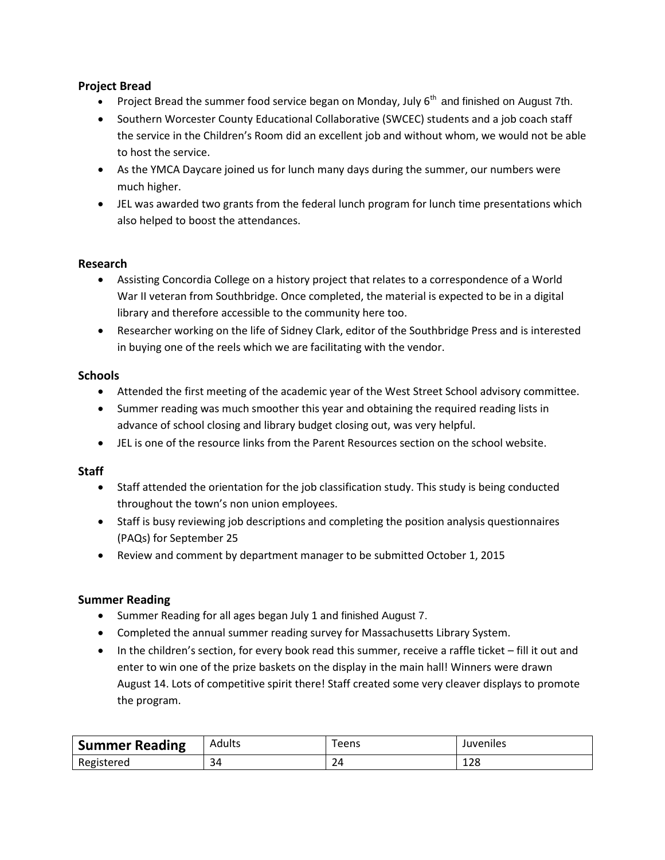# **Project Bread**

- Project Bread the summer food service began on Monday, July  $6<sup>th</sup>$  and finished on August 7th.
- Southern Worcester County Educational Collaborative (SWCEC) students and a job coach staff the service in the Children's Room did an excellent job and without whom, we would not be able to host the service.
- As the YMCA Daycare joined us for lunch many days during the summer, our numbers were much higher.
- JEL was awarded two grants from the federal lunch program for lunch time presentations which also helped to boost the attendances.

# **Research**

- Assisting Concordia College on a history project that relates to a correspondence of a World War II veteran from Southbridge. Once completed, the material is expected to be in a digital library and therefore accessible to the community here too.
- Researcher working on the life of Sidney Clark, editor of the Southbridge Press and is interested in buying one of the reels which we are facilitating with the vendor.

## **Schools**

- Attended the first meeting of the academic year of the West Street School advisory committee.
- Summer reading was much smoother this year and obtaining the required reading lists in advance of school closing and library budget closing out, was very helpful.
- JEL is one of the resource links from the Parent Resources section on the school website.

#### **Staff**

- Staff attended the orientation for the job classification study. This study is being conducted throughout the town's non union employees.
- Staff is busy reviewing job descriptions and completing the position analysis questionnaires (PAQs) for September 25
- Review and comment by department manager to be submitted October 1, 2015

# **Summer Reading**

- Summer Reading for all ages began July 1 and finished August 7.
- Completed the annual summer reading survey for Massachusetts Library System.
- In the children's section, for every book read this summer, receive a raffle ticket fill it out and enter to win one of the prize baskets on the display in the main hall! Winners were drawn August 14. Lots of competitive spirit there! Staff created some very cleaver displays to promote the program.

| <b>Summer Reading</b> | Adults | $\tau$ eens | Juveniles |
|-----------------------|--------|-------------|-----------|
| Registered            | 34     | 24          | 128       |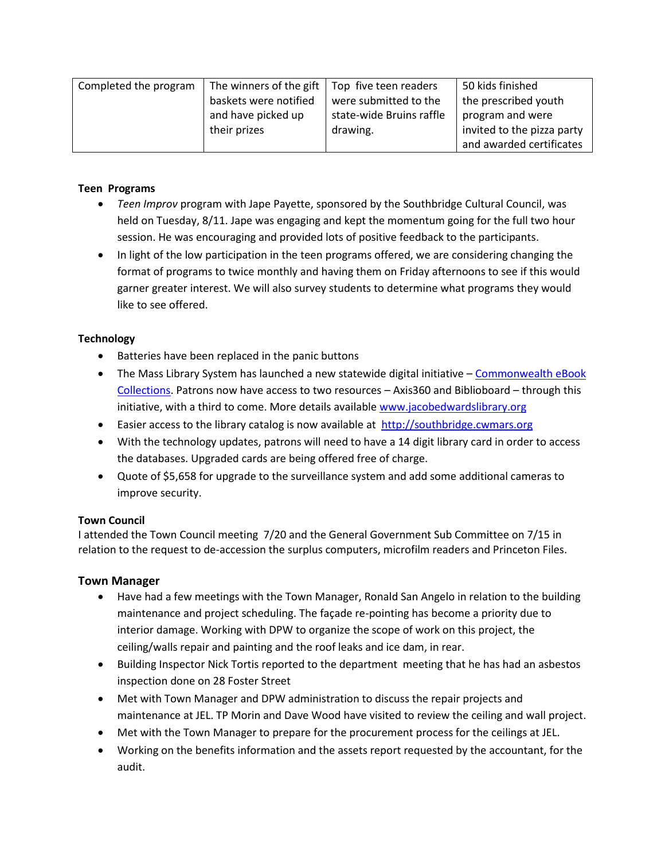| Completed the program | The winners of the gift $\vert$ Top five teen readers |                          | 50 kids finished           |
|-----------------------|-------------------------------------------------------|--------------------------|----------------------------|
|                       | baskets were notified                                 | were submitted to the    | the prescribed youth       |
|                       | and have picked up                                    | state-wide Bruins raffle | program and were           |
|                       | their prizes                                          | drawing.                 | invited to the pizza party |
|                       |                                                       |                          | and awarded certificates   |

## **Teen Programs**

- *Teen Improv* program with Jape Payette, sponsored by the Southbridge Cultural Council, was held on Tuesday, 8/11. Jape was engaging and kept the momentum going for the full two hour session. He was encouraging and provided lots of positive feedback to the participants.
- In light of the low participation in the teen programs offered, we are considering changing the format of programs to twice monthly and having them on Friday afternoons to see if this would garner greater interest. We will also survey students to determine what programs they would like to see offered.

## **Technology**

- Batteries have been replaced in the panic buttons
- The Mass Library System has launched a new statewide digital initiative Commonwealth eBook [Collections.](http://ebooks.masslibsystem.org/) Patrons now have access to two resources – Axis360 and Biblioboard – through this initiative, with a third to come. More details availabl[e www.jacobedwardslibrary.org](http://www.jacobedwardslibrary.org/)
- **Easier access to the library catalog is now available at [http://southbridge.cwmars.org](http://southbridge.cwmars.org/)**
- With the technology updates, patrons will need to have a 14 digit library card in order to access the databases. Upgraded cards are being offered free of charge.
- Quote of \$5,658 for upgrade to the surveillance system and add some additional cameras to improve security.

#### **Town Council**

I attended the Town Council meeting 7/20 and the General Government Sub Committee on 7/15 in relation to the request to de-accession the surplus computers, microfilm readers and Princeton Files.

# **Town Manager**

- Have had a few meetings with the Town Manager, Ronald San Angelo in relation to the building maintenance and project scheduling. The façade re-pointing has become a priority due to interior damage. Working with DPW to organize the scope of work on this project, the ceiling/walls repair and painting and the roof leaks and ice dam, in rear.
- Building Inspector Nick Tortis reported to the department meeting that he has had an asbestos inspection done on 28 Foster Street
- Met with Town Manager and DPW administration to discuss the repair projects and maintenance at JEL. TP Morin and Dave Wood have visited to review the ceiling and wall project.
- Met with the Town Manager to prepare for the procurement process for the ceilings at JEL.
- Working on the benefits information and the assets report requested by the accountant, for the audit.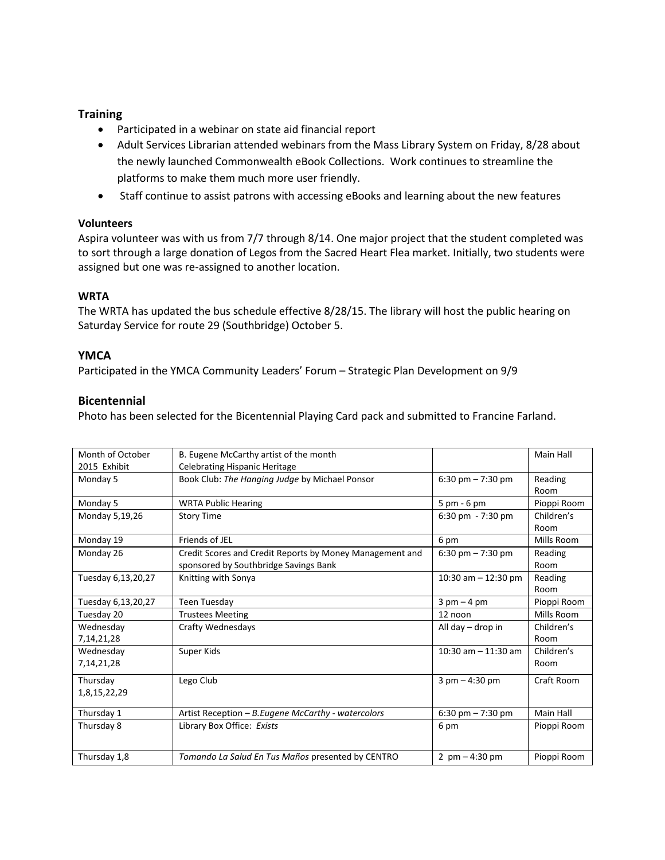# **Training**

- Participated in a webinar on state aid financial report
- Adult Services Librarian attended webinars from the Mass Library System on Friday, 8/28 about the newly launched Commonwealth eBook Collections. Work continues to streamline the platforms to make them much more user friendly.
- Staff continue to assist patrons with accessing eBooks and learning about the new features

## **Volunteers**

Aspira volunteer was with us from 7/7 through 8/14. One major project that the student completed was to sort through a large donation of Legos from the Sacred Heart Flea market. Initially, two students were assigned but one was re-assigned to another location.

## **WRTA**

The WRTA has updated the bus schedule effective 8/28/15. The library will host the public hearing on Saturday Service for route 29 (Southbridge) October 5.

# **YMCA**

Participated in the YMCA Community Leaders' Forum – Strategic Plan Development on 9/9

## **Bicentennial**

Photo has been selected for the Bicentennial Playing Card pack and submitted to Francine Farland.

| Month of October   | B. Eugene McCarthy artist of the month                   |                               | Main Hall   |
|--------------------|----------------------------------------------------------|-------------------------------|-------------|
| 2015 Exhibit       | <b>Celebrating Hispanic Heritage</b>                     |                               |             |
| Monday 5           | Book Club: The Hanging Judge by Michael Ponsor           | 6:30 pm $- 7:30$ pm           | Reading     |
|                    |                                                          |                               | Room        |
| Monday 5           | <b>WRTA Public Hearing</b>                               | 5 pm - 6 pm                   | Pioppi Room |
| Monday 5,19,26     | <b>Story Time</b>                                        | 6:30 pm $-7:30$ pm            | Children's  |
|                    |                                                          |                               | Room        |
| Monday 19          | Friends of JEL                                           | 6 pm                          | Mills Room  |
| Monday 26          | Credit Scores and Credit Reports by Money Management and | 6:30 pm $- 7:30$ pm           | Reading     |
|                    | sponsored by Southbridge Savings Bank                    |                               | Room        |
| Tuesday 6,13,20,27 | Knitting with Sonya                                      | 10:30 am $-$ 12:30 pm         | Reading     |
|                    |                                                          |                               | Room        |
| Tuesday 6,13,20,27 | Teen Tuesday                                             | $3 \text{ pm} - 4 \text{ pm}$ | Pioppi Room |
| Tuesday 20         | <b>Trustees Meeting</b>                                  | 12 noon                       | Mills Room  |
| Wednesday          | Crafty Wednesdays                                        | All day $-$ drop in           | Children's  |
| 7,14,21,28         |                                                          |                               | Room        |
| Wednesday          | Super Kids                                               | 10:30 am $-$ 11:30 am         | Children's  |
| 7,14,21,28         |                                                          |                               | Room        |
| Thursday           | Lego Club                                                | $3$ pm $-4:30$ pm             | Craft Room  |
| 1,8,15,22,29       |                                                          |                               |             |
| Thursday 1         | Artist Reception - B. Eugene McCarthy - watercolors      | 6:30 pm $- 7:30$ pm           | Main Hall   |
| Thursday 8         | Library Box Office: Exists                               | 6 pm                          | Pioppi Room |
|                    |                                                          |                               |             |
| Thursday 1,8       | Tomando La Salud En Tus Maños presented by CENTRO        | 2 $pm - 4:30 pm$              | Pioppi Room |